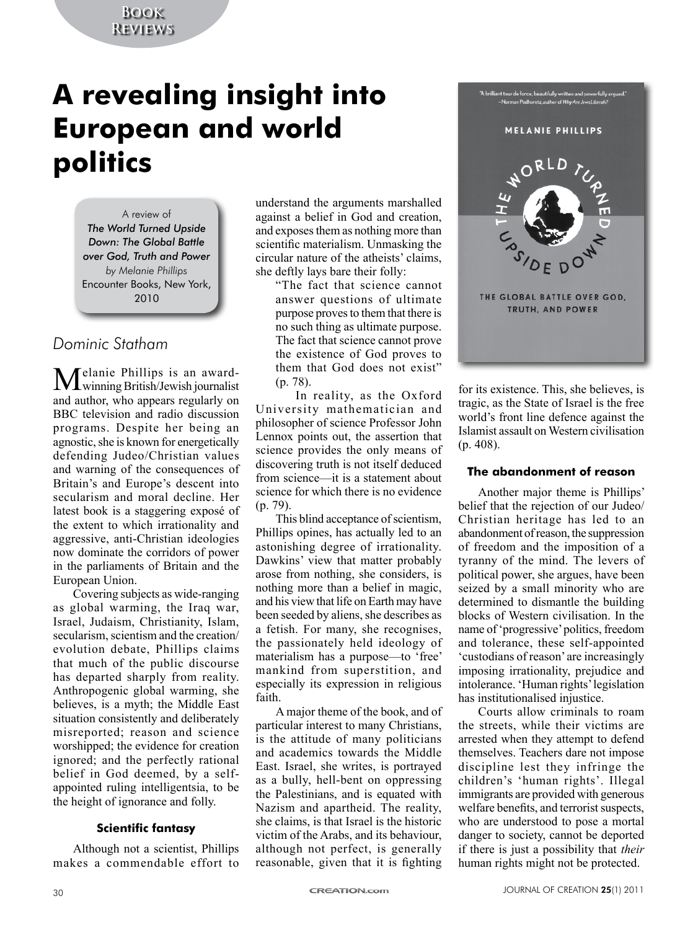# **Book Reviews**

# **A revealing insight into European and world politics**

A review of *The World Turned Upside Down: The Global Battle over God, Truth and Power by Melanie Phillips* Encounter Books, New York, 2010

# *Dominic Statham*

Melanie Phillips is an award-winning British/Jewish journalist and author, who appears regularly on BBC television and radio discussion programs. Despite her being an agnostic, she is known for energetically defending Judeo/Christian values and warning of the consequences of Britain's and Europe's descent into secularism and moral decline. Her latest book is a staggering exposé of the extent to which irrationality and aggressive, anti-Christian ideologies now dominate the corridors of power in the parliaments of Britain and the European Union.

Covering subjects as wide-ranging as global warming, the Iraq war, Israel, Judaism, Christianity, Islam, secularism, scientism and the creation/ evolution debate, Phillips claims that much of the public discourse has departed sharply from reality. Anthropogenic global warming, she believes, is a myth; the Middle East situation consistently and deliberately misreported; reason and science worshipped; the evidence for creation ignored; and the perfectly rational belief in God deemed, by a selfappointed ruling intelligentsia, to be the height of ignorance and folly.

## **Scientific fantasy**

Although not a scientist, Phillips makes a commendable effort to understand the arguments marshalled against a belief in God and creation, and exposes them as nothing more than scientific materialism. Unmasking the circular nature of the atheists' claims, she deftly lays bare their folly:

"The fact that science cannot answer questions of ultimate purpose proves to them that there is no such thing as ultimate purpose. The fact that science cannot prove the existence of God proves to them that God does not exist" (p. 78).

In reality, as the Oxford University mathematician and philosopher of science Professor John Lennox points out, the assertion that science provides the only means of discovering truth is not itself deduced from science—it is a statement about science for which there is no evidence (p. 79).

This blind acceptance of scientism, Phillips opines, has actually led to an astonishing degree of irrationality. Dawkins' view that matter probably arose from nothing, she considers, is nothing more than a belief in magic, and his view that life on Earth may have been seeded by aliens, she describes as a fetish. For many, she recognises, the passionately held ideology of materialism has a purpose—to 'free' mankind from superstition, and especially its expression in religious faith.

A major theme of the book, and of particular interest to many Christians, is the attitude of many politicians and academics towards the Middle East. Israel, she writes, is portrayed as a bully, hell-bent on oppressing the Palestinians, and is equated with Nazism and apartheid. The reality, she claims, is that Israel is the historic victim of the Arabs, and its behaviour, although not perfect, is generally reasonable, given that it is fighting



for its existence. This, she believes, is tragic, as the State of Israel is the free world's front line defence against the Islamist assault on Western civilisation (p. 408).

### **The abandonment of reason**

Another major theme is Phillips' belief that the rejection of our Judeo/ Christian heritage has led to an abandonment of reason, the suppression of freedom and the imposition of a tyranny of the mind. The levers of political power, she argues, have been seized by a small minority who are determined to dismantle the building blocks of Western civilisation. In the name of 'progressive' politics, freedom and tolerance, these self-appointed 'custodians of reason' are increasingly imposing irrationality, prejudice and intolerance. 'Human rights' legislation has institutionalised injustice.

Courts allow criminals to roam the streets, while their victims are arrested when they attempt to defend themselves. Teachers dare not impose discipline lest they infringe the children's 'human rights'. Illegal immigrants are provided with generous welfare benefits, and terrorist suspects, who are understood to pose a mortal danger to society, cannot be deported if there is just a possibility that *their* human rights might not be protected.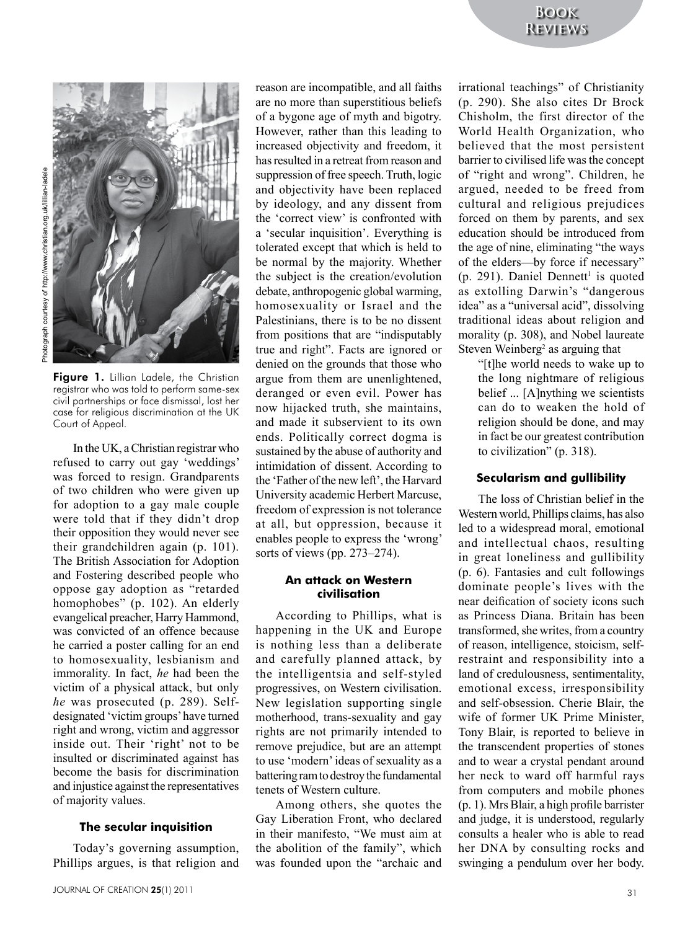

Figure 1. Lillian Ladele, the Christian registrar who was told to perform same-sex civil partnerships or face dismissal, lost her case for religious discrimination at the UK Court of Appeal.

In the UK, a Christian registrar who refused to carry out gay 'weddings' was forced to resign. Grandparents of two children who were given up for adoption to a gay male couple were told that if they didn't drop their opposition they would never see their grandchildren again (p. 101). The British Association for Adoption and Fostering described people who oppose gay adoption as "retarded homophobes" (p. 102). An elderly evangelical preacher, Harry Hammond, was convicted of an offence because he carried a poster calling for an end to homosexuality, lesbianism and immorality. In fact, *he* had been the victim of a physical attack, but only *he* was prosecuted (p. 289). Selfdesignated 'victim groups' have turned right and wrong, victim and aggressor inside out. Their 'right' not to be insulted or discriminated against has become the basis for discrimination and injustice against the representatives of majority values.

#### **The secular inquisition**

Today's governing assumption, Phillips argues, is that religion and reason are incompatible, and all faiths are no more than superstitious beliefs of a bygone age of myth and bigotry. However, rather than this leading to increased objectivity and freedom, it has resulted in a retreat from reason and suppression of free speech. Truth, logic and objectivity have been replaced by ideology, and any dissent from the 'correct view' is confronted with a 'secular inquisition'. Everything is tolerated except that which is held to be normal by the majority. Whether the subject is the creation/evolution debate, anthropogenic global warming, homosexuality or Israel and the Palestinians, there is to be no dissent from positions that are "indisputably true and right". Facts are ignored or denied on the grounds that those who argue from them are unenlightened, deranged or even evil. Power has now hijacked truth, she maintains, and made it subservient to its own ends. Politically correct dogma is sustained by the abuse of authority and intimidation of dissent. According to the 'Father of the new left', the Harvard University academic Herbert Marcuse, freedom of expression is not tolerance at all, but oppression, because it enables people to express the 'wrong' sorts of views (pp. 273–274).

#### **An attack on Western civilisation**

According to Phillips, what is happening in the UK and Europe is nothing less than a deliberate and carefully planned attack, by the intelligentsia and self-styled progressives, on Western civilisation. New legislation supporting single motherhood, trans-sexuality and gay rights are not primarily intended to remove prejudice, but are an attempt to use 'modern' ideas of sexuality as a battering ram to destroy the fundamental tenets of Western culture.

Among others, she quotes the Gay Liberation Front, who declared in their manifesto, "We must aim at the abolition of the family", which was founded upon the "archaic and

irrational teachings" of Christianity (p. 290). She also cites Dr Brock Chisholm, the first director of the World Health Organization, who believed that the most persistent barrier to civilised life was the concept of "right and wrong". Children, he argued, needed to be freed from cultural and religious prejudices forced on them by parents, and sex education should be introduced from the age of nine, eliminating "the ways of the elders—by force if necessary"  $(p. 291)$ . Daniel Dennett<sup>1</sup> is quoted as extolling Darwin's "dangerous idea" as a "universal acid", dissolving traditional ideas about religion and morality (p. 308), and Nobel laureate Steven Weinberg<sup>2</sup> as arguing that

"[t]he world needs to wake up to the long nightmare of religious belief ... [A]nything we scientists can do to weaken the hold of religion should be done, and may in fact be our greatest contribution to civilization" (p. 318).

#### **Secularism and gullibility**

The loss of Christian belief in the Western world, Phillips claims, has also led to a widespread moral, emotional and intellectual chaos, resulting in great loneliness and gullibility (p. 6). Fantasies and cult followings dominate people's lives with the near deification of society icons such as Princess Diana. Britain has been transformed, she writes, from a country of reason, intelligence, stoicism, selfrestraint and responsibility into a land of credulousness, sentimentality, emotional excess, irresponsibility and self-obsession. Cherie Blair, the wife of former UK Prime Minister, Tony Blair, is reported to believe in the transcendent properties of stones and to wear a crystal pendant around her neck to ward off harmful rays from computers and mobile phones (p. 1). Mrs Blair, a high profile barrister and judge, it is understood, regularly consults a healer who is able to read her DNA by consulting rocks and swinging a pendulum over her body.